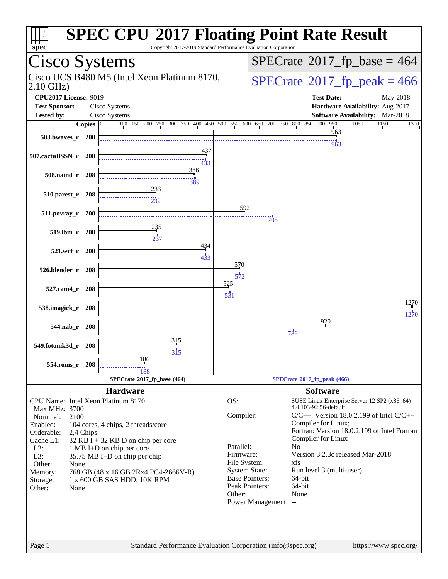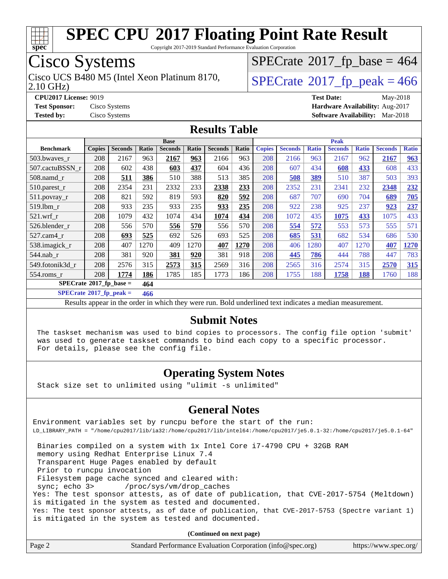

Copyright 2017-2019 Standard Performance Evaluation Corporation

# Cisco Systems

Cisco UCS B480 M5 (Intel Xeon Platinum 8170,  $\vert$ [SPECrate](http://www.spec.org/auto/cpu2017/Docs/result-fields.html#SPECrate2017fppeak)®[2017\\_fp\\_peak = 4](http://www.spec.org/auto/cpu2017/Docs/result-fields.html#SPECrate2017fppeak)66

 $SPECTate$ <sup>®</sup>[2017\\_fp\\_base =](http://www.spec.org/auto/cpu2017/Docs/result-fields.html#SPECrate2017fpbase) 464

2.10 GHz)

**[CPU2017 License:](http://www.spec.org/auto/cpu2017/Docs/result-fields.html#CPU2017License)** 9019 **[Test Date:](http://www.spec.org/auto/cpu2017/Docs/result-fields.html#TestDate)** May-2018

**[Test Sponsor:](http://www.spec.org/auto/cpu2017/Docs/result-fields.html#TestSponsor)** Cisco Systems **[Hardware Availability:](http://www.spec.org/auto/cpu2017/Docs/result-fields.html#HardwareAvailability)** Aug-2017 **[Tested by:](http://www.spec.org/auto/cpu2017/Docs/result-fields.html#Testedby)** Cisco Systems **[Software Availability:](http://www.spec.org/auto/cpu2017/Docs/result-fields.html#SoftwareAvailability)** Mar-2018

#### **[Results Table](http://www.spec.org/auto/cpu2017/Docs/result-fields.html#ResultsTable)**

|                                   | <b>Base</b>   |                |       |                | <b>Peak</b>  |                |       |               |                |              |                |              |                |              |
|-----------------------------------|---------------|----------------|-------|----------------|--------------|----------------|-------|---------------|----------------|--------------|----------------|--------------|----------------|--------------|
| <b>Benchmark</b>                  | <b>Copies</b> | <b>Seconds</b> | Ratio | <b>Seconds</b> | <b>Ratio</b> | <b>Seconds</b> | Ratio | <b>Copies</b> | <b>Seconds</b> | <b>Ratio</b> | <b>Seconds</b> | <b>Ratio</b> | <b>Seconds</b> | <b>Ratio</b> |
| 503.bwaves_r                      | 208           | 2167           | 963   | 2167           | 963          | 2166           | 963   | 208           | 2166           | 963          | 2167           | 962          | 2167           | 963          |
| 507.cactuBSSN r                   | 208           | 602            | 438   | 603            | 437          | 604            | 436   | 208           | 607            | 434          | 608            | 433          | 608            | 433          |
| $508$ .namd $r$                   | 208           | 511            | 386   | 510            | 388          | 513            | 385   | 208           | 508            | 389          | 510            | 387          | 503            | 393          |
| $510.parest_r$                    | 208           | 2354           | 231   | 2332           | 233          | 2338           | 233   | 208           | 2352           | 231          | 2341           | 232          | 2348           | 232          |
| 511.povray_r                      | 208           | 821            | 592   | 819            | 593          | 820            | 592   | 208           | 687            | 707          | 690            | 704          | 689            | 705          |
| 519.1bm r                         | 208           | 933            | 235   | 933            | 235          | 933            | 235   | 208           | 922            | 238          | 925            | 237          | 923            | 237          |
| $521$ .wrf r                      | 208           | 1079           | 432   | 1074           | 434          | 1074           | 434   | 208           | 1072           | 435          | 1075           | 433          | 1075           | 433          |
| 526.blender r                     | 208           | 556            | 570   | 556            | 570          | 556            | 570   | 208           | 554            | 572          | 553            | 573          | 555            | 571          |
| $527$ .cam $4r$                   | 208           | 693            | 525   | 692            | 526          | 693            | 525   | 208           | 685            | 531          | 682            | 534          | 686            | 530          |
| 538.imagick_r                     | 208           | 407            | 1270  | 409            | 1270         | 407            | 1270  | 208           | 406            | 1280         | 407            | 1270         | 407            | 1270         |
| 544.nab r                         | 208           | 381            | 920   | 381            | 920          | 381            | 918   | 208           | 445            | 786          | 444            | 788          | 447            | 783          |
| 549.fotonik3d r                   | 208           | 2576           | 315   | 2573           | 315          | 2569           | 316   | 208           | 2565           | 316          | 2574           | 315          | 2570           | 315          |
| $554$ .roms $r$                   | 208           | 1774           | 186   | 1785           | 185          | 1773           | 186   | 208           | 1755           | 188          | 1758           | 188          | 1760           | 188          |
| $SPECrate*2017_fp\_base =$<br>464 |               |                |       |                |              |                |       |               |                |              |                |              |                |              |

**[SPECrate](http://www.spec.org/auto/cpu2017/Docs/result-fields.html#SPECrate2017fppeak)[2017\\_fp\\_peak =](http://www.spec.org/auto/cpu2017/Docs/result-fields.html#SPECrate2017fppeak) 466**

Results appear in the [order in which they were run](http://www.spec.org/auto/cpu2017/Docs/result-fields.html#RunOrder). Bold underlined text [indicates a median measurement](http://www.spec.org/auto/cpu2017/Docs/result-fields.html#Median).

#### **[Submit Notes](http://www.spec.org/auto/cpu2017/Docs/result-fields.html#SubmitNotes)**

 The taskset mechanism was used to bind copies to processors. The config file option 'submit' was used to generate taskset commands to bind each copy to a specific processor. For details, please see the config file.

#### **[Operating System Notes](http://www.spec.org/auto/cpu2017/Docs/result-fields.html#OperatingSystemNotes)**

Stack size set to unlimited using "ulimit -s unlimited"

#### **[General Notes](http://www.spec.org/auto/cpu2017/Docs/result-fields.html#GeneralNotes)**

Environment variables set by runcpu before the start of the run: LD\_LIBRARY\_PATH = "/home/cpu2017/lib/ia32:/home/cpu2017/lib/intel64:/home/cpu2017/je5.0.1-32:/home/cpu2017/je5.0.1-64"

 Binaries compiled on a system with 1x Intel Core i7-4790 CPU + 32GB RAM memory using Redhat Enterprise Linux 7.4 Transparent Huge Pages enabled by default Prior to runcpu invocation Filesystem page cache synced and cleared with: sync; echo 3> /proc/sys/vm/drop\_caches Yes: The test sponsor attests, as of date of publication, that CVE-2017-5754 (Meltdown) is mitigated in the system as tested and documented. Yes: The test sponsor attests, as of date of publication, that CVE-2017-5753 (Spectre variant 1) is mitigated in the system as tested and documented.

| Page 2 | Standard Performance Evaluation Corporation (info@spec.org) | https://www.spec.org/ |
|--------|-------------------------------------------------------------|-----------------------|
|--------|-------------------------------------------------------------|-----------------------|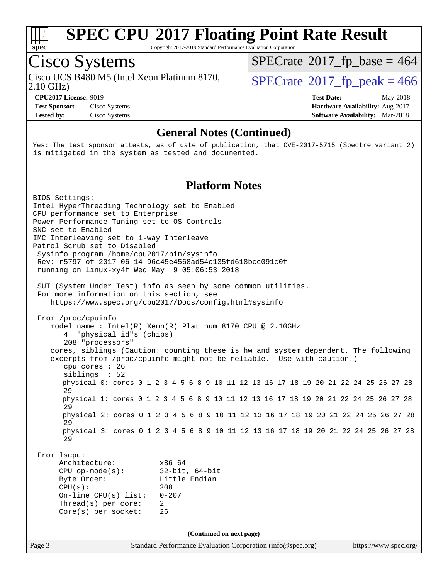

Copyright 2017-2019 Standard Performance Evaluation Corporation

# Cisco Systems

Cisco UCS B480 M5 (Intel Xeon Platinum 8170,<br>2.10 GHz)

 $SPECTate$ <sup>®</sup>[2017\\_fp\\_base =](http://www.spec.org/auto/cpu2017/Docs/result-fields.html#SPECrate2017fpbase) 464

 $SPECTate<sup>®</sup>2017<sub>fr</sub>peak =  $466$$ 

**[Test Sponsor:](http://www.spec.org/auto/cpu2017/Docs/result-fields.html#TestSponsor)** Cisco Systems **[Hardware Availability:](http://www.spec.org/auto/cpu2017/Docs/result-fields.html#HardwareAvailability)** Aug-2017 **[Tested by:](http://www.spec.org/auto/cpu2017/Docs/result-fields.html#Testedby)** Cisco Systems **Cisco Systems [Software Availability:](http://www.spec.org/auto/cpu2017/Docs/result-fields.html#SoftwareAvailability)** Mar-2018

**[CPU2017 License:](http://www.spec.org/auto/cpu2017/Docs/result-fields.html#CPU2017License)** 9019 **[Test Date:](http://www.spec.org/auto/cpu2017/Docs/result-fields.html#TestDate)** May-2018

#### **[General Notes \(Continued\)](http://www.spec.org/auto/cpu2017/Docs/result-fields.html#GeneralNotes)**

Yes: The test sponsor attests, as of date of publication, that CVE-2017-5715 (Spectre variant 2) is mitigated in the system as tested and documented.

#### **[Platform Notes](http://www.spec.org/auto/cpu2017/Docs/result-fields.html#PlatformNotes)**

Page 3 Standard Performance Evaluation Corporation [\(info@spec.org\)](mailto:info@spec.org) <https://www.spec.org/> BIOS Settings: Intel HyperThreading Technology set to Enabled CPU performance set to Enterprise Power Performance Tuning set to OS Controls SNC set to Enabled IMC Interleaving set to 1-way Interleave Patrol Scrub set to Disabled Sysinfo program /home/cpu2017/bin/sysinfo Rev: r5797 of 2017-06-14 96c45e4568ad54c135fd618bcc091c0f running on linux-xy4f Wed May 9 05:06:53 2018 SUT (System Under Test) info as seen by some common utilities. For more information on this section, see <https://www.spec.org/cpu2017/Docs/config.html#sysinfo> From /proc/cpuinfo model name : Intel(R) Xeon(R) Platinum 8170 CPU @ 2.10GHz 4 "physical id"s (chips) 208 "processors" cores, siblings (Caution: counting these is hw and system dependent. The following excerpts from /proc/cpuinfo might not be reliable. Use with caution.) cpu cores : 26 siblings : 52 physical 0: cores 0 1 2 3 4 5 6 8 9 10 11 12 13 16 17 18 19 20 21 22 24 25 26 27 28 29 physical 1: cores 0 1 2 3 4 5 6 8 9 10 11 12 13 16 17 18 19 20 21 22 24 25 26 27 28 29 physical 2: cores 0 1 2 3 4 5 6 8 9 10 11 12 13 16 17 18 19 20 21 22 24 25 26 27 28 29 physical 3: cores 0 1 2 3 4 5 6 8 9 10 11 12 13 16 17 18 19 20 21 22 24 25 26 27 28 29 From lscpu: Architecture: x86\_64 CPU op-mode(s): 32-bit, 64-bit Byte Order: Little Endian CPU(s): 208 On-line CPU(s) list: 0-207 Thread(s) per core: 2 Core(s) per socket: 26 **(Continued on next page)**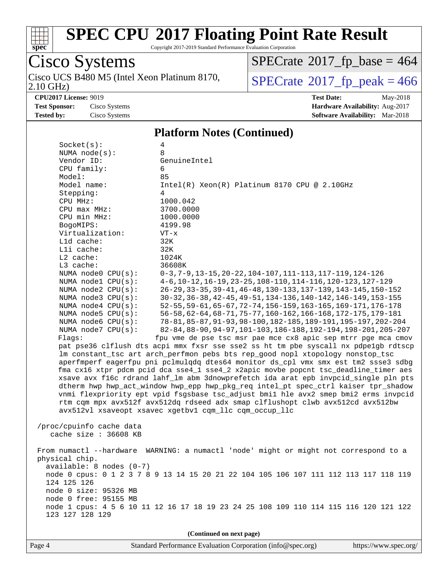

Cisco Systems

# **[SPEC CPU](http://www.spec.org/auto/cpu2017/Docs/result-fields.html#SPECCPU2017FloatingPointRateResult)[2017 Floating Point Rate Result](http://www.spec.org/auto/cpu2017/Docs/result-fields.html#SPECCPU2017FloatingPointRateResult)**

 $SPECrate$ <sup>®</sup>[2017\\_fp\\_base =](http://www.spec.org/auto/cpu2017/Docs/result-fields.html#SPECrate2017fpbase) 464

Copyright 2017-2019 Standard Performance Evaluation Corporation

Cisco UCS B480 M5 (Intel Xeon Platinum 8170,<br>2.10 GHz)  $SPECTate<sup>®</sup>2017<sub>fr</sub>peak =  $466$$ **[CPU2017 License:](http://www.spec.org/auto/cpu2017/Docs/result-fields.html#CPU2017License)** 9019 **[Test Date:](http://www.spec.org/auto/cpu2017/Docs/result-fields.html#TestDate)** May-2018 **[Test Sponsor:](http://www.spec.org/auto/cpu2017/Docs/result-fields.html#TestSponsor)** Cisco Systems **[Hardware Availability:](http://www.spec.org/auto/cpu2017/Docs/result-fields.html#HardwareAvailability)** Aug-2017 **[Tested by:](http://www.spec.org/auto/cpu2017/Docs/result-fields.html#Testedby)** Cisco Systems **[Software Availability:](http://www.spec.org/auto/cpu2017/Docs/result-fields.html#SoftwareAvailability)** Mar-2018 **[Platform Notes \(Continued\)](http://www.spec.org/auto/cpu2017/Docs/result-fields.html#PlatformNotes)** Socket(s): 4 NUMA node(s): 8 Vendor ID: GenuineIntel CPU family: 6 Model: 85 Model name: Intel(R) Xeon(R) Platinum 8170 CPU @ 2.10GHz Stepping: 4 CPU MHz: 1000.042 CPU max MHz: 3700.0000 CPU min MHz: 1000.0000 BogoMIPS: 4199.98 Virtualization: VT-x L1d cache: 32K L1i cache: 32K L2 cache: 1024K L3 cache: 36608K NUMA node0 CPU(s): 0-3,7-9,13-15,20-22,104-107,111-113,117-119,124-126 NUMA node1 CPU(s): 4-6,10-12,16-19,23-25,108-110,114-116,120-123,127-129 NUMA node2 CPU(s): 26-29,33-35,39-41,46-48,130-133,137-139,143-145,150-152 NUMA node3 CPU(s): 30-32,36-38,42-45,49-51,134-136,140-142,146-149,153-155 NUMA node4 CPU(s): 52-55,59-61,65-67,72-74,156-159,163-165,169-171,176-178 NUMA node5 CPU(s): 56-58,62-64,68-71,75-77,160-162,166-168,172-175,179-181 NUMA node6 CPU(s): 78-81,85-87,91-93,98-100,182-185,189-191,195-197,202-204 NUMA node7 CPU(s): 82-84,88-90,94-97,101-103,186-188,192-194,198-201,205-207 Flags: fpu vme de pse tsc msr pae mce cx8 apic sep mtrr pge mca cmov pat pse36 clflush dts acpi mmx fxsr sse sse2 ss ht tm pbe syscall nx pdpe1gb rdtscp lm constant\_tsc art arch\_perfmon pebs bts rep\_good nopl xtopology nonstop\_tsc aperfmperf eagerfpu pni pclmulqdq dtes64 monitor ds\_cpl vmx smx est tm2 ssse3 sdbg fma cx16 xtpr pdcm pcid dca sse4\_1 sse4\_2 x2apic movbe popcnt tsc\_deadline\_timer aes xsave avx f16c rdrand lahf\_lm abm 3dnowprefetch ida arat epb invpcid\_single pln pts dtherm hwp hwp\_act\_window hwp\_epp hwp\_pkg\_req intel\_pt spec\_ctrl kaiser tpr\_shadow vnmi flexpriority ept vpid fsgsbase tsc\_adjust bmi1 hle avx2 smep bmi2 erms invpcid rtm cqm mpx avx512f avx512dq rdseed adx smap clflushopt clwb avx512cd avx512bw avx512vl xsaveopt xsavec xgetbv1 cqm\_llc cqm\_occup\_llc /proc/cpuinfo cache data cache size : 36608 KB From numactl --hardware WARNING: a numactl 'node' might or might not correspond to a physical chip. available: 8 nodes (0-7) node 0 cpus: 0 1 2 3 7 8 9 13 14 15 20 21 22 104 105 106 107 111 112 113 117 118 119 124 125 126 node 0 size: 95326 MB node 0 free: 95155 MB node 1 cpus: 4 5 6 10 11 12 16 17 18 19 23 24 25 108 109 110 114 115 116 120 121 122 123 127 128 129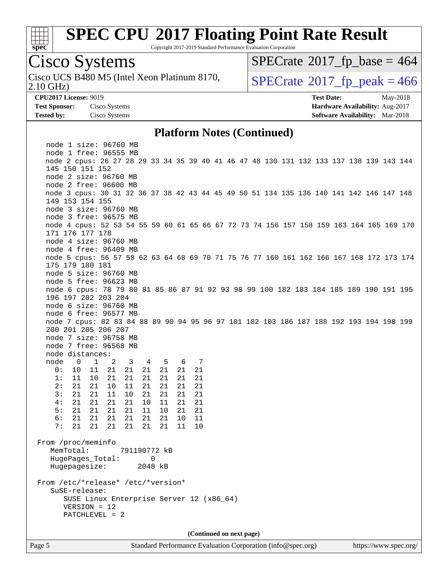

Copyright 2017-2019 Standard Performance Evaluation Corporation

# Cisco Systems

2.10 GHz) Cisco UCS B480 M5 (Intel Xeon Platinum 8170,  $\vert$ [SPECrate](http://www.spec.org/auto/cpu2017/Docs/result-fields.html#SPECrate2017fppeak)®[2017\\_fp\\_peak = 4](http://www.spec.org/auto/cpu2017/Docs/result-fields.html#SPECrate2017fppeak)66

 $SPECTate$ <sup>®</sup>[2017\\_fp\\_base =](http://www.spec.org/auto/cpu2017/Docs/result-fields.html#SPECrate2017fpbase) 464

**[CPU2017 License:](http://www.spec.org/auto/cpu2017/Docs/result-fields.html#CPU2017License)** 9019 **[Test Date:](http://www.spec.org/auto/cpu2017/Docs/result-fields.html#TestDate)** May-2018 **[Test Sponsor:](http://www.spec.org/auto/cpu2017/Docs/result-fields.html#TestSponsor)** Cisco Systems **[Hardware Availability:](http://www.spec.org/auto/cpu2017/Docs/result-fields.html#HardwareAvailability)** Aug-2017 **[Tested by:](http://www.spec.org/auto/cpu2017/Docs/result-fields.html#Testedby)** Cisco Systems **[Software Availability:](http://www.spec.org/auto/cpu2017/Docs/result-fields.html#SoftwareAvailability)** Mar-2018

#### **[Platform Notes \(Continued\)](http://www.spec.org/auto/cpu2017/Docs/result-fields.html#PlatformNotes)**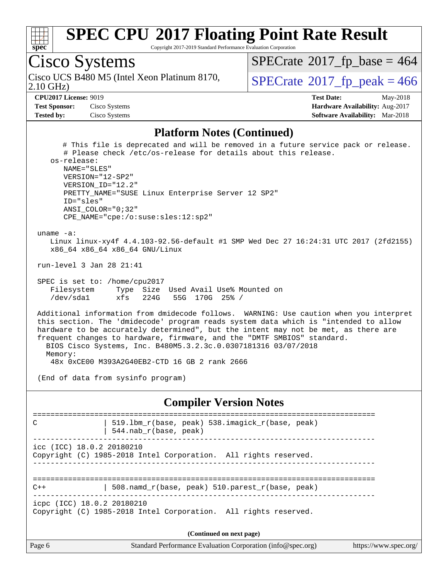

Copyright 2017-2019 Standard Performance Evaluation Corporation

# Cisco Systems

2.10 GHz) Cisco UCS B480 M5 (Intel Xeon Platinum 8170,  $\vert$ [SPECrate](http://www.spec.org/auto/cpu2017/Docs/result-fields.html#SPECrate2017fppeak)®[2017\\_fp\\_peak = 4](http://www.spec.org/auto/cpu2017/Docs/result-fields.html#SPECrate2017fppeak)66

 $SPECTate$ <sup>®</sup>[2017\\_fp\\_base =](http://www.spec.org/auto/cpu2017/Docs/result-fields.html#SPECrate2017fpbase) 464

**[Test Sponsor:](http://www.spec.org/auto/cpu2017/Docs/result-fields.html#TestSponsor)** Cisco Systems **Cisco Systems [Hardware Availability:](http://www.spec.org/auto/cpu2017/Docs/result-fields.html#HardwareAvailability)** Aug-2017 **[Tested by:](http://www.spec.org/auto/cpu2017/Docs/result-fields.html#Testedby)** Cisco Systems **[Software Availability:](http://www.spec.org/auto/cpu2017/Docs/result-fields.html#SoftwareAvailability)** Mar-2018

**[CPU2017 License:](http://www.spec.org/auto/cpu2017/Docs/result-fields.html#CPU2017License)** 9019 **[Test Date:](http://www.spec.org/auto/cpu2017/Docs/result-fields.html#TestDate)** May-2018

#### **[Platform Notes \(Continued\)](http://www.spec.org/auto/cpu2017/Docs/result-fields.html#PlatformNotes)**

 # This file is deprecated and will be removed in a future service pack or release. # Please check /etc/os-release for details about this release. os-release: NAME="SLES" VERSION="12-SP2" VERSION\_ID="12.2" PRETTY\_NAME="SUSE Linux Enterprise Server 12 SP2" ID="sles" ANSI\_COLOR="0;32" CPE\_NAME="cpe:/o:suse:sles:12:sp2" uname -a: Linux linux-xy4f 4.4.103-92.56-default #1 SMP Wed Dec 27 16:24:31 UTC 2017 (2fd2155) x86\_64 x86\_64 x86\_64 GNU/Linux run-level 3 Jan 28 21:41 SPEC is set to: /home/cpu2017 Filesystem Type Size Used Avail Use% Mounted on /dev/sda1 xfs 224G 55G 170G 25% / Additional information from dmidecode follows. WARNING: Use caution when you interpret this section. The 'dmidecode' program reads system data which is "intended to allow hardware to be accurately determined", but the intent may not be met, as there are frequent changes to hardware, firmware, and the "DMTF SMBIOS" standard. BIOS Cisco Systems, Inc. B480M5.3.2.3c.0.0307181316 03/07/2018 Memory: 48x 0xCE00 M393A2G40EB2-CTD 16 GB 2 rank 2666 (End of data from sysinfo program) **[Compiler Version Notes](http://www.spec.org/auto/cpu2017/Docs/result-fields.html#CompilerVersionNotes)** ============================================================================== C | 519.lbm\_r(base, peak) 538.imagick\_r(base, peak) | 544.nab\_r(base, peak) ----------------------------------------------------------------------------- icc (ICC) 18.0.2 20180210 Copyright (C) 1985-2018 Intel Corporation. All rights reserved. ------------------------------------------------------------------------------ ==============================================================================  $C++$  | 508.namd\_r(base, peak) 510.parest\_r(base, peak) ----------------------------------------------------------------------------- icpc (ICC) 18.0.2 20180210

Copyright (C) 1985-2018 Intel Corporation. All rights reserved.

| Standard Performance Evaluation Corporation (info@spec.org)<br>https://www.spec.org/ |
|--------------------------------------------------------------------------------------|
|                                                                                      |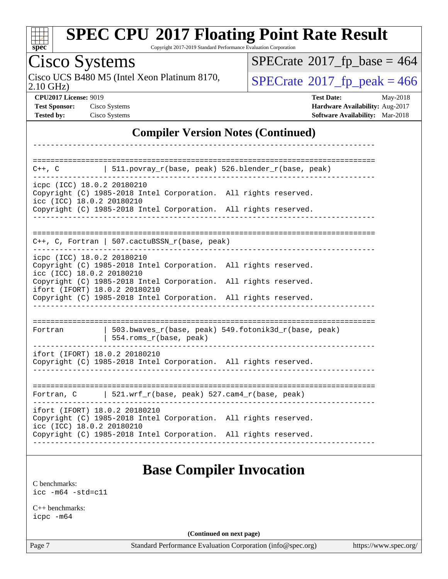| Sì<br>Dе<br>Ľ |  |  |  |  |  |  |
|---------------|--|--|--|--|--|--|

Copyright 2017-2019 Standard Performance Evaluation Corporation

| Cisco Systems                                                             |                                                                                                                                                                     |                                           | $SPECrate^{\circ}2017$ fp base = 464                 |                                                                                |
|---------------------------------------------------------------------------|---------------------------------------------------------------------------------------------------------------------------------------------------------------------|-------------------------------------------|------------------------------------------------------|--------------------------------------------------------------------------------|
| $2.10$ GHz)                                                               | Cisco UCS B480 M5 (Intel Xeon Platinum 8170,                                                                                                                        |                                           | $SPECTate$ <sup>®</sup> 2017_fp_peak = 466           |                                                                                |
| <b>CPU2017 License: 9019</b><br><b>Test Sponsor:</b><br><b>Tested by:</b> | Cisco Systems<br><b>Cisco Systems</b>                                                                                                                               |                                           | <b>Test Date:</b>                                    | May-2018<br>Hardware Availability: Aug-2017<br>Software Availability: Mar-2018 |
|                                                                           |                                                                                                                                                                     | <b>Compiler Version Notes (Continued)</b> |                                                      |                                                                                |
| $C++$ , $C$                                                               | $511.povray_r(base, peak) 526.blender_r(base, peak)$                                                                                                                |                                           |                                                      |                                                                                |
|                                                                           |                                                                                                                                                                     |                                           |                                                      |                                                                                |
|                                                                           | icpc (ICC) 18.0.2 20180210<br>Copyright (C) 1985-2018 Intel Corporation. All rights reserved.<br>icc (ICC) 18.0.2 20180210                                          |                                           |                                                      |                                                                                |
|                                                                           | Copyright (C) 1985-2018 Intel Corporation. All rights reserved.                                                                                                     |                                           |                                                      |                                                                                |
|                                                                           | $C++$ , C, Fortran   507.cactuBSSN_r(base, peak)                                                                                                                    |                                           |                                                      |                                                                                |
|                                                                           | icpc (ICC) 18.0.2 20180210<br>Copyright (C) 1985-2018 Intel Corporation. All rights reserved.<br>icc (ICC) 18.0.2 20180210                                          |                                           |                                                      |                                                                                |
|                                                                           | Copyright (C) 1985-2018 Intel Corporation. All rights reserved.<br>ifort (IFORT) 18.0.2 20180210<br>Copyright (C) 1985-2018 Intel Corporation. All rights reserved. |                                           |                                                      |                                                                                |
|                                                                           |                                                                                                                                                                     |                                           |                                                      |                                                                                |
| Fortran                                                                   | 554.roms_r(base, peak)                                                                                                                                              |                                           | 503.bwaves_r(base, peak) 549.fotonik3d_r(base, peak) |                                                                                |
|                                                                           | ifort (IFORT) 18.0.2 20180210<br>Copyright (C) 1985-2018 Intel Corporation. All rights reserved.                                                                    |                                           |                                                      |                                                                                |
|                                                                           |                                                                                                                                                                     |                                           |                                                      |                                                                                |
| Fortran, C                                                                | 521.wrf_r(base, peak) 527.cam4_r(base, peak)                                                                                                                        |                                           |                                                      |                                                                                |
|                                                                           | ifort (IFORT) 18.0.2 20180210<br>Copyright (C) 1985-2018 Intel Corporation. All rights reserved.                                                                    |                                           |                                                      |                                                                                |
|                                                                           | icc (ICC) 18.0.2 20180210                                                                                                                                           |                                           |                                                      |                                                                                |

### **[Base Compiler Invocation](http://www.spec.org/auto/cpu2017/Docs/result-fields.html#BaseCompilerInvocation)**

[C benchmarks](http://www.spec.org/auto/cpu2017/Docs/result-fields.html#Cbenchmarks): [icc -m64 -std=c11](http://www.spec.org/cpu2017/results/res2018q2/cpu2017-20180515-05676.flags.html#user_CCbase_intel_icc_64bit_c11_33ee0cdaae7deeeab2a9725423ba97205ce30f63b9926c2519791662299b76a0318f32ddfffdc46587804de3178b4f9328c46fa7c2b0cd779d7a61945c91cd35)

[C++ benchmarks:](http://www.spec.org/auto/cpu2017/Docs/result-fields.html#CXXbenchmarks) [icpc -m64](http://www.spec.org/cpu2017/results/res2018q2/cpu2017-20180515-05676.flags.html#user_CXXbase_intel_icpc_64bit_4ecb2543ae3f1412ef961e0650ca070fec7b7afdcd6ed48761b84423119d1bf6bdf5cad15b44d48e7256388bc77273b966e5eb805aefd121eb22e9299b2ec9d9)

**(Continued on next page)**

Page 7 Standard Performance Evaluation Corporation [\(info@spec.org\)](mailto:info@spec.org) <https://www.spec.org/>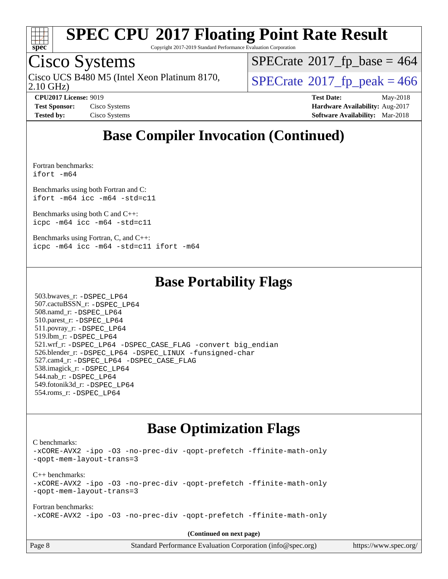

Copyright 2017-2019 Standard Performance Evaluation Corporation

# Cisco Systems

2.10 GHz) Cisco UCS B480 M5 (Intel Xeon Platinum 8170,  $\vert$ [SPECrate](http://www.spec.org/auto/cpu2017/Docs/result-fields.html#SPECrate2017fppeak)®[2017\\_fp\\_peak = 4](http://www.spec.org/auto/cpu2017/Docs/result-fields.html#SPECrate2017fppeak)66

 $SPECTate$ <sup>®</sup>[2017\\_fp\\_base =](http://www.spec.org/auto/cpu2017/Docs/result-fields.html#SPECrate2017fpbase) 464

**[CPU2017 License:](http://www.spec.org/auto/cpu2017/Docs/result-fields.html#CPU2017License)** 9019 **[Test Date:](http://www.spec.org/auto/cpu2017/Docs/result-fields.html#TestDate)** May-2018 **[Test Sponsor:](http://www.spec.org/auto/cpu2017/Docs/result-fields.html#TestSponsor)** Cisco Systems **Cisco Systems [Hardware Availability:](http://www.spec.org/auto/cpu2017/Docs/result-fields.html#HardwareAvailability)** Aug-2017 **[Tested by:](http://www.spec.org/auto/cpu2017/Docs/result-fields.html#Testedby)** Cisco Systems **[Software Availability:](http://www.spec.org/auto/cpu2017/Docs/result-fields.html#SoftwareAvailability)** Mar-2018

### **[Base Compiler Invocation \(Continued\)](http://www.spec.org/auto/cpu2017/Docs/result-fields.html#BaseCompilerInvocation)**

[Fortran benchmarks](http://www.spec.org/auto/cpu2017/Docs/result-fields.html#Fortranbenchmarks): [ifort -m64](http://www.spec.org/cpu2017/results/res2018q2/cpu2017-20180515-05676.flags.html#user_FCbase_intel_ifort_64bit_24f2bb282fbaeffd6157abe4f878425411749daecae9a33200eee2bee2fe76f3b89351d69a8130dd5949958ce389cf37ff59a95e7a40d588e8d3a57e0c3fd751)

[Benchmarks using both Fortran and C](http://www.spec.org/auto/cpu2017/Docs/result-fields.html#BenchmarksusingbothFortranandC): [ifort -m64](http://www.spec.org/cpu2017/results/res2018q2/cpu2017-20180515-05676.flags.html#user_CC_FCbase_intel_ifort_64bit_24f2bb282fbaeffd6157abe4f878425411749daecae9a33200eee2bee2fe76f3b89351d69a8130dd5949958ce389cf37ff59a95e7a40d588e8d3a57e0c3fd751) [icc -m64 -std=c11](http://www.spec.org/cpu2017/results/res2018q2/cpu2017-20180515-05676.flags.html#user_CC_FCbase_intel_icc_64bit_c11_33ee0cdaae7deeeab2a9725423ba97205ce30f63b9926c2519791662299b76a0318f32ddfffdc46587804de3178b4f9328c46fa7c2b0cd779d7a61945c91cd35)

[Benchmarks using both C and C++](http://www.spec.org/auto/cpu2017/Docs/result-fields.html#BenchmarksusingbothCandCXX): [icpc -m64](http://www.spec.org/cpu2017/results/res2018q2/cpu2017-20180515-05676.flags.html#user_CC_CXXbase_intel_icpc_64bit_4ecb2543ae3f1412ef961e0650ca070fec7b7afdcd6ed48761b84423119d1bf6bdf5cad15b44d48e7256388bc77273b966e5eb805aefd121eb22e9299b2ec9d9) [icc -m64 -std=c11](http://www.spec.org/cpu2017/results/res2018q2/cpu2017-20180515-05676.flags.html#user_CC_CXXbase_intel_icc_64bit_c11_33ee0cdaae7deeeab2a9725423ba97205ce30f63b9926c2519791662299b76a0318f32ddfffdc46587804de3178b4f9328c46fa7c2b0cd779d7a61945c91cd35)

[Benchmarks using Fortran, C, and C++:](http://www.spec.org/auto/cpu2017/Docs/result-fields.html#BenchmarksusingFortranCandCXX) [icpc -m64](http://www.spec.org/cpu2017/results/res2018q2/cpu2017-20180515-05676.flags.html#user_CC_CXX_FCbase_intel_icpc_64bit_4ecb2543ae3f1412ef961e0650ca070fec7b7afdcd6ed48761b84423119d1bf6bdf5cad15b44d48e7256388bc77273b966e5eb805aefd121eb22e9299b2ec9d9) [icc -m64 -std=c11](http://www.spec.org/cpu2017/results/res2018q2/cpu2017-20180515-05676.flags.html#user_CC_CXX_FCbase_intel_icc_64bit_c11_33ee0cdaae7deeeab2a9725423ba97205ce30f63b9926c2519791662299b76a0318f32ddfffdc46587804de3178b4f9328c46fa7c2b0cd779d7a61945c91cd35) [ifort -m64](http://www.spec.org/cpu2017/results/res2018q2/cpu2017-20180515-05676.flags.html#user_CC_CXX_FCbase_intel_ifort_64bit_24f2bb282fbaeffd6157abe4f878425411749daecae9a33200eee2bee2fe76f3b89351d69a8130dd5949958ce389cf37ff59a95e7a40d588e8d3a57e0c3fd751)

#### **[Base Portability Flags](http://www.spec.org/auto/cpu2017/Docs/result-fields.html#BasePortabilityFlags)**

 503.bwaves\_r: [-DSPEC\\_LP64](http://www.spec.org/cpu2017/results/res2018q2/cpu2017-20180515-05676.flags.html#suite_basePORTABILITY503_bwaves_r_DSPEC_LP64) 507.cactuBSSN\_r: [-DSPEC\\_LP64](http://www.spec.org/cpu2017/results/res2018q2/cpu2017-20180515-05676.flags.html#suite_basePORTABILITY507_cactuBSSN_r_DSPEC_LP64) 508.namd\_r: [-DSPEC\\_LP64](http://www.spec.org/cpu2017/results/res2018q2/cpu2017-20180515-05676.flags.html#suite_basePORTABILITY508_namd_r_DSPEC_LP64) 510.parest\_r: [-DSPEC\\_LP64](http://www.spec.org/cpu2017/results/res2018q2/cpu2017-20180515-05676.flags.html#suite_basePORTABILITY510_parest_r_DSPEC_LP64) 511.povray\_r: [-DSPEC\\_LP64](http://www.spec.org/cpu2017/results/res2018q2/cpu2017-20180515-05676.flags.html#suite_basePORTABILITY511_povray_r_DSPEC_LP64) 519.lbm\_r: [-DSPEC\\_LP64](http://www.spec.org/cpu2017/results/res2018q2/cpu2017-20180515-05676.flags.html#suite_basePORTABILITY519_lbm_r_DSPEC_LP64) 521.wrf\_r: [-DSPEC\\_LP64](http://www.spec.org/cpu2017/results/res2018q2/cpu2017-20180515-05676.flags.html#suite_basePORTABILITY521_wrf_r_DSPEC_LP64) [-DSPEC\\_CASE\\_FLAG](http://www.spec.org/cpu2017/results/res2018q2/cpu2017-20180515-05676.flags.html#b521.wrf_r_baseCPORTABILITY_DSPEC_CASE_FLAG) [-convert big\\_endian](http://www.spec.org/cpu2017/results/res2018q2/cpu2017-20180515-05676.flags.html#user_baseFPORTABILITY521_wrf_r_convert_big_endian_c3194028bc08c63ac5d04de18c48ce6d347e4e562e8892b8bdbdc0214820426deb8554edfa529a3fb25a586e65a3d812c835984020483e7e73212c4d31a38223) 526.blender\_r: [-DSPEC\\_LP64](http://www.spec.org/cpu2017/results/res2018q2/cpu2017-20180515-05676.flags.html#suite_basePORTABILITY526_blender_r_DSPEC_LP64) [-DSPEC\\_LINUX](http://www.spec.org/cpu2017/results/res2018q2/cpu2017-20180515-05676.flags.html#b526.blender_r_baseCPORTABILITY_DSPEC_LINUX) [-funsigned-char](http://www.spec.org/cpu2017/results/res2018q2/cpu2017-20180515-05676.flags.html#user_baseCPORTABILITY526_blender_r_force_uchar_40c60f00ab013830e2dd6774aeded3ff59883ba5a1fc5fc14077f794d777847726e2a5858cbc7672e36e1b067e7e5c1d9a74f7176df07886a243d7cc18edfe67) 527.cam4\_r: [-DSPEC\\_LP64](http://www.spec.org/cpu2017/results/res2018q2/cpu2017-20180515-05676.flags.html#suite_basePORTABILITY527_cam4_r_DSPEC_LP64) [-DSPEC\\_CASE\\_FLAG](http://www.spec.org/cpu2017/results/res2018q2/cpu2017-20180515-05676.flags.html#b527.cam4_r_baseCPORTABILITY_DSPEC_CASE_FLAG) 538.imagick\_r: [-DSPEC\\_LP64](http://www.spec.org/cpu2017/results/res2018q2/cpu2017-20180515-05676.flags.html#suite_basePORTABILITY538_imagick_r_DSPEC_LP64) 544.nab\_r: [-DSPEC\\_LP64](http://www.spec.org/cpu2017/results/res2018q2/cpu2017-20180515-05676.flags.html#suite_basePORTABILITY544_nab_r_DSPEC_LP64) 549.fotonik3d\_r: [-DSPEC\\_LP64](http://www.spec.org/cpu2017/results/res2018q2/cpu2017-20180515-05676.flags.html#suite_basePORTABILITY549_fotonik3d_r_DSPEC_LP64) 554.roms\_r: [-DSPEC\\_LP64](http://www.spec.org/cpu2017/results/res2018q2/cpu2017-20180515-05676.flags.html#suite_basePORTABILITY554_roms_r_DSPEC_LP64)

### **[Base Optimization Flags](http://www.spec.org/auto/cpu2017/Docs/result-fields.html#BaseOptimizationFlags)**

[C benchmarks](http://www.spec.org/auto/cpu2017/Docs/result-fields.html#Cbenchmarks):

[-xCORE-AVX2](http://www.spec.org/cpu2017/results/res2018q2/cpu2017-20180515-05676.flags.html#user_CCbase_f-xCORE-AVX2) [-ipo](http://www.spec.org/cpu2017/results/res2018q2/cpu2017-20180515-05676.flags.html#user_CCbase_f-ipo) [-O3](http://www.spec.org/cpu2017/results/res2018q2/cpu2017-20180515-05676.flags.html#user_CCbase_f-O3) [-no-prec-div](http://www.spec.org/cpu2017/results/res2018q2/cpu2017-20180515-05676.flags.html#user_CCbase_f-no-prec-div) [-qopt-prefetch](http://www.spec.org/cpu2017/results/res2018q2/cpu2017-20180515-05676.flags.html#user_CCbase_f-qopt-prefetch) [-ffinite-math-only](http://www.spec.org/cpu2017/results/res2018q2/cpu2017-20180515-05676.flags.html#user_CCbase_f_finite_math_only_cb91587bd2077682c4b38af759c288ed7c732db004271a9512da14a4f8007909a5f1427ecbf1a0fb78ff2a814402c6114ac565ca162485bbcae155b5e4258871) [-qopt-mem-layout-trans=3](http://www.spec.org/cpu2017/results/res2018q2/cpu2017-20180515-05676.flags.html#user_CCbase_f-qopt-mem-layout-trans_de80db37974c74b1f0e20d883f0b675c88c3b01e9d123adea9b28688d64333345fb62bc4a798493513fdb68f60282f9a726aa07f478b2f7113531aecce732043) [C++ benchmarks:](http://www.spec.org/auto/cpu2017/Docs/result-fields.html#CXXbenchmarks) [-xCORE-AVX2](http://www.spec.org/cpu2017/results/res2018q2/cpu2017-20180515-05676.flags.html#user_CXXbase_f-xCORE-AVX2) [-ipo](http://www.spec.org/cpu2017/results/res2018q2/cpu2017-20180515-05676.flags.html#user_CXXbase_f-ipo) [-O3](http://www.spec.org/cpu2017/results/res2018q2/cpu2017-20180515-05676.flags.html#user_CXXbase_f-O3) [-no-prec-div](http://www.spec.org/cpu2017/results/res2018q2/cpu2017-20180515-05676.flags.html#user_CXXbase_f-no-prec-div) [-qopt-prefetch](http://www.spec.org/cpu2017/results/res2018q2/cpu2017-20180515-05676.flags.html#user_CXXbase_f-qopt-prefetch) [-ffinite-math-only](http://www.spec.org/cpu2017/results/res2018q2/cpu2017-20180515-05676.flags.html#user_CXXbase_f_finite_math_only_cb91587bd2077682c4b38af759c288ed7c732db004271a9512da14a4f8007909a5f1427ecbf1a0fb78ff2a814402c6114ac565ca162485bbcae155b5e4258871) [-qopt-mem-layout-trans=3](http://www.spec.org/cpu2017/results/res2018q2/cpu2017-20180515-05676.flags.html#user_CXXbase_f-qopt-mem-layout-trans_de80db37974c74b1f0e20d883f0b675c88c3b01e9d123adea9b28688d64333345fb62bc4a798493513fdb68f60282f9a726aa07f478b2f7113531aecce732043) [Fortran benchmarks](http://www.spec.org/auto/cpu2017/Docs/result-fields.html#Fortranbenchmarks): [-xCORE-AVX2](http://www.spec.org/cpu2017/results/res2018q2/cpu2017-20180515-05676.flags.html#user_FCbase_f-xCORE-AVX2) [-ipo](http://www.spec.org/cpu2017/results/res2018q2/cpu2017-20180515-05676.flags.html#user_FCbase_f-ipo) [-O3](http://www.spec.org/cpu2017/results/res2018q2/cpu2017-20180515-05676.flags.html#user_FCbase_f-O3) [-no-prec-div](http://www.spec.org/cpu2017/results/res2018q2/cpu2017-20180515-05676.flags.html#user_FCbase_f-no-prec-div) [-qopt-prefetch](http://www.spec.org/cpu2017/results/res2018q2/cpu2017-20180515-05676.flags.html#user_FCbase_f-qopt-prefetch) [-ffinite-math-only](http://www.spec.org/cpu2017/results/res2018q2/cpu2017-20180515-05676.flags.html#user_FCbase_f_finite_math_only_cb91587bd2077682c4b38af759c288ed7c732db004271a9512da14a4f8007909a5f1427ecbf1a0fb78ff2a814402c6114ac565ca162485bbcae155b5e4258871)

| Page 8 | Standard Performance Evaluation Corporation (info@spec.org) | https://www.spec.org/ |
|--------|-------------------------------------------------------------|-----------------------|
|--------|-------------------------------------------------------------|-----------------------|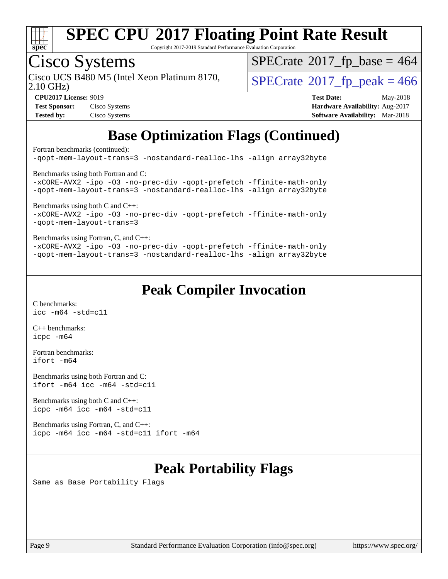

Copyright 2017-2019 Standard Performance Evaluation Corporation

# Cisco Systems

2.10 GHz) Cisco UCS B480 M5 (Intel Xeon Platinum 8170,  $\vert$ [SPECrate](http://www.spec.org/auto/cpu2017/Docs/result-fields.html#SPECrate2017fppeak)®[2017\\_fp\\_peak = 4](http://www.spec.org/auto/cpu2017/Docs/result-fields.html#SPECrate2017fppeak)66

 $SPECrate$ <sup>®</sup>[2017\\_fp\\_base =](http://www.spec.org/auto/cpu2017/Docs/result-fields.html#SPECrate2017fpbase) 464

| <b>Test Sponsor:</b> | Cisco Systems |
|----------------------|---------------|
| <b>Tested by:</b>    | Cisco Systems |

**[CPU2017 License:](http://www.spec.org/auto/cpu2017/Docs/result-fields.html#CPU2017License)** 9019 **[Test Date:](http://www.spec.org/auto/cpu2017/Docs/result-fields.html#TestDate)** May-2018 **[Hardware Availability:](http://www.spec.org/auto/cpu2017/Docs/result-fields.html#HardwareAvailability)** Aug-2017 **[Software Availability:](http://www.spec.org/auto/cpu2017/Docs/result-fields.html#SoftwareAvailability)** Mar-2018

### **[Base Optimization Flags \(Continued\)](http://www.spec.org/auto/cpu2017/Docs/result-fields.html#BaseOptimizationFlags)**

[Fortran benchmarks](http://www.spec.org/auto/cpu2017/Docs/result-fields.html#Fortranbenchmarks) (continued):

[-qopt-mem-layout-trans=3](http://www.spec.org/cpu2017/results/res2018q2/cpu2017-20180515-05676.flags.html#user_FCbase_f-qopt-mem-layout-trans_de80db37974c74b1f0e20d883f0b675c88c3b01e9d123adea9b28688d64333345fb62bc4a798493513fdb68f60282f9a726aa07f478b2f7113531aecce732043) [-nostandard-realloc-lhs](http://www.spec.org/cpu2017/results/res2018q2/cpu2017-20180515-05676.flags.html#user_FCbase_f_2003_std_realloc_82b4557e90729c0f113870c07e44d33d6f5a304b4f63d4c15d2d0f1fab99f5daaed73bdb9275d9ae411527f28b936061aa8b9c8f2d63842963b95c9dd6426b8a) [-align array32byte](http://www.spec.org/cpu2017/results/res2018q2/cpu2017-20180515-05676.flags.html#user_FCbase_align_array32byte_b982fe038af199962ba9a80c053b8342c548c85b40b8e86eb3cc33dee0d7986a4af373ac2d51c3f7cf710a18d62fdce2948f201cd044323541f22fc0fffc51b6) [Benchmarks using both Fortran and C](http://www.spec.org/auto/cpu2017/Docs/result-fields.html#BenchmarksusingbothFortranandC): [-xCORE-AVX2](http://www.spec.org/cpu2017/results/res2018q2/cpu2017-20180515-05676.flags.html#user_CC_FCbase_f-xCORE-AVX2) [-ipo](http://www.spec.org/cpu2017/results/res2018q2/cpu2017-20180515-05676.flags.html#user_CC_FCbase_f-ipo) [-O3](http://www.spec.org/cpu2017/results/res2018q2/cpu2017-20180515-05676.flags.html#user_CC_FCbase_f-O3) [-no-prec-div](http://www.spec.org/cpu2017/results/res2018q2/cpu2017-20180515-05676.flags.html#user_CC_FCbase_f-no-prec-div) [-qopt-prefetch](http://www.spec.org/cpu2017/results/res2018q2/cpu2017-20180515-05676.flags.html#user_CC_FCbase_f-qopt-prefetch) [-ffinite-math-only](http://www.spec.org/cpu2017/results/res2018q2/cpu2017-20180515-05676.flags.html#user_CC_FCbase_f_finite_math_only_cb91587bd2077682c4b38af759c288ed7c732db004271a9512da14a4f8007909a5f1427ecbf1a0fb78ff2a814402c6114ac565ca162485bbcae155b5e4258871) [-qopt-mem-layout-trans=3](http://www.spec.org/cpu2017/results/res2018q2/cpu2017-20180515-05676.flags.html#user_CC_FCbase_f-qopt-mem-layout-trans_de80db37974c74b1f0e20d883f0b675c88c3b01e9d123adea9b28688d64333345fb62bc4a798493513fdb68f60282f9a726aa07f478b2f7113531aecce732043) [-nostandard-realloc-lhs](http://www.spec.org/cpu2017/results/res2018q2/cpu2017-20180515-05676.flags.html#user_CC_FCbase_f_2003_std_realloc_82b4557e90729c0f113870c07e44d33d6f5a304b4f63d4c15d2d0f1fab99f5daaed73bdb9275d9ae411527f28b936061aa8b9c8f2d63842963b95c9dd6426b8a) [-align array32byte](http://www.spec.org/cpu2017/results/res2018q2/cpu2017-20180515-05676.flags.html#user_CC_FCbase_align_array32byte_b982fe038af199962ba9a80c053b8342c548c85b40b8e86eb3cc33dee0d7986a4af373ac2d51c3f7cf710a18d62fdce2948f201cd044323541f22fc0fffc51b6) [Benchmarks using both C and C++](http://www.spec.org/auto/cpu2017/Docs/result-fields.html#BenchmarksusingbothCandCXX): [-xCORE-AVX2](http://www.spec.org/cpu2017/results/res2018q2/cpu2017-20180515-05676.flags.html#user_CC_CXXbase_f-xCORE-AVX2) [-ipo](http://www.spec.org/cpu2017/results/res2018q2/cpu2017-20180515-05676.flags.html#user_CC_CXXbase_f-ipo) [-O3](http://www.spec.org/cpu2017/results/res2018q2/cpu2017-20180515-05676.flags.html#user_CC_CXXbase_f-O3) [-no-prec-div](http://www.spec.org/cpu2017/results/res2018q2/cpu2017-20180515-05676.flags.html#user_CC_CXXbase_f-no-prec-div) [-qopt-prefetch](http://www.spec.org/cpu2017/results/res2018q2/cpu2017-20180515-05676.flags.html#user_CC_CXXbase_f-qopt-prefetch) [-ffinite-math-only](http://www.spec.org/cpu2017/results/res2018q2/cpu2017-20180515-05676.flags.html#user_CC_CXXbase_f_finite_math_only_cb91587bd2077682c4b38af759c288ed7c732db004271a9512da14a4f8007909a5f1427ecbf1a0fb78ff2a814402c6114ac565ca162485bbcae155b5e4258871) [-qopt-mem-layout-trans=3](http://www.spec.org/cpu2017/results/res2018q2/cpu2017-20180515-05676.flags.html#user_CC_CXXbase_f-qopt-mem-layout-trans_de80db37974c74b1f0e20d883f0b675c88c3b01e9d123adea9b28688d64333345fb62bc4a798493513fdb68f60282f9a726aa07f478b2f7113531aecce732043) [Benchmarks using Fortran, C, and C++:](http://www.spec.org/auto/cpu2017/Docs/result-fields.html#BenchmarksusingFortranCandCXX) [-xCORE-AVX2](http://www.spec.org/cpu2017/results/res2018q2/cpu2017-20180515-05676.flags.html#user_CC_CXX_FCbase_f-xCORE-AVX2) [-ipo](http://www.spec.org/cpu2017/results/res2018q2/cpu2017-20180515-05676.flags.html#user_CC_CXX_FCbase_f-ipo) [-O3](http://www.spec.org/cpu2017/results/res2018q2/cpu2017-20180515-05676.flags.html#user_CC_CXX_FCbase_f-O3) [-no-prec-div](http://www.spec.org/cpu2017/results/res2018q2/cpu2017-20180515-05676.flags.html#user_CC_CXX_FCbase_f-no-prec-div) [-qopt-prefetch](http://www.spec.org/cpu2017/results/res2018q2/cpu2017-20180515-05676.flags.html#user_CC_CXX_FCbase_f-qopt-prefetch) [-ffinite-math-only](http://www.spec.org/cpu2017/results/res2018q2/cpu2017-20180515-05676.flags.html#user_CC_CXX_FCbase_f_finite_math_only_cb91587bd2077682c4b38af759c288ed7c732db004271a9512da14a4f8007909a5f1427ecbf1a0fb78ff2a814402c6114ac565ca162485bbcae155b5e4258871) [-qopt-mem-layout-trans=3](http://www.spec.org/cpu2017/results/res2018q2/cpu2017-20180515-05676.flags.html#user_CC_CXX_FCbase_f-qopt-mem-layout-trans_de80db37974c74b1f0e20d883f0b675c88c3b01e9d123adea9b28688d64333345fb62bc4a798493513fdb68f60282f9a726aa07f478b2f7113531aecce732043) [-nostandard-realloc-lhs](http://www.spec.org/cpu2017/results/res2018q2/cpu2017-20180515-05676.flags.html#user_CC_CXX_FCbase_f_2003_std_realloc_82b4557e90729c0f113870c07e44d33d6f5a304b4f63d4c15d2d0f1fab99f5daaed73bdb9275d9ae411527f28b936061aa8b9c8f2d63842963b95c9dd6426b8a) [-align array32byte](http://www.spec.org/cpu2017/results/res2018q2/cpu2017-20180515-05676.flags.html#user_CC_CXX_FCbase_align_array32byte_b982fe038af199962ba9a80c053b8342c548c85b40b8e86eb3cc33dee0d7986a4af373ac2d51c3f7cf710a18d62fdce2948f201cd044323541f22fc0fffc51b6)

#### **[Peak Compiler Invocation](http://www.spec.org/auto/cpu2017/Docs/result-fields.html#PeakCompilerInvocation)**

[C benchmarks](http://www.spec.org/auto/cpu2017/Docs/result-fields.html#Cbenchmarks): [icc -m64 -std=c11](http://www.spec.org/cpu2017/results/res2018q2/cpu2017-20180515-05676.flags.html#user_CCpeak_intel_icc_64bit_c11_33ee0cdaae7deeeab2a9725423ba97205ce30f63b9926c2519791662299b76a0318f32ddfffdc46587804de3178b4f9328c46fa7c2b0cd779d7a61945c91cd35)

[C++ benchmarks:](http://www.spec.org/auto/cpu2017/Docs/result-fields.html#CXXbenchmarks) [icpc -m64](http://www.spec.org/cpu2017/results/res2018q2/cpu2017-20180515-05676.flags.html#user_CXXpeak_intel_icpc_64bit_4ecb2543ae3f1412ef961e0650ca070fec7b7afdcd6ed48761b84423119d1bf6bdf5cad15b44d48e7256388bc77273b966e5eb805aefd121eb22e9299b2ec9d9)

[Fortran benchmarks](http://www.spec.org/auto/cpu2017/Docs/result-fields.html#Fortranbenchmarks): [ifort -m64](http://www.spec.org/cpu2017/results/res2018q2/cpu2017-20180515-05676.flags.html#user_FCpeak_intel_ifort_64bit_24f2bb282fbaeffd6157abe4f878425411749daecae9a33200eee2bee2fe76f3b89351d69a8130dd5949958ce389cf37ff59a95e7a40d588e8d3a57e0c3fd751)

[Benchmarks using both Fortran and C](http://www.spec.org/auto/cpu2017/Docs/result-fields.html#BenchmarksusingbothFortranandC): [ifort -m64](http://www.spec.org/cpu2017/results/res2018q2/cpu2017-20180515-05676.flags.html#user_CC_FCpeak_intel_ifort_64bit_24f2bb282fbaeffd6157abe4f878425411749daecae9a33200eee2bee2fe76f3b89351d69a8130dd5949958ce389cf37ff59a95e7a40d588e8d3a57e0c3fd751) [icc -m64 -std=c11](http://www.spec.org/cpu2017/results/res2018q2/cpu2017-20180515-05676.flags.html#user_CC_FCpeak_intel_icc_64bit_c11_33ee0cdaae7deeeab2a9725423ba97205ce30f63b9926c2519791662299b76a0318f32ddfffdc46587804de3178b4f9328c46fa7c2b0cd779d7a61945c91cd35)

[Benchmarks using both C and C++](http://www.spec.org/auto/cpu2017/Docs/result-fields.html#BenchmarksusingbothCandCXX): [icpc -m64](http://www.spec.org/cpu2017/results/res2018q2/cpu2017-20180515-05676.flags.html#user_CC_CXXpeak_intel_icpc_64bit_4ecb2543ae3f1412ef961e0650ca070fec7b7afdcd6ed48761b84423119d1bf6bdf5cad15b44d48e7256388bc77273b966e5eb805aefd121eb22e9299b2ec9d9) [icc -m64 -std=c11](http://www.spec.org/cpu2017/results/res2018q2/cpu2017-20180515-05676.flags.html#user_CC_CXXpeak_intel_icc_64bit_c11_33ee0cdaae7deeeab2a9725423ba97205ce30f63b9926c2519791662299b76a0318f32ddfffdc46587804de3178b4f9328c46fa7c2b0cd779d7a61945c91cd35)

[Benchmarks using Fortran, C, and C++:](http://www.spec.org/auto/cpu2017/Docs/result-fields.html#BenchmarksusingFortranCandCXX) [icpc -m64](http://www.spec.org/cpu2017/results/res2018q2/cpu2017-20180515-05676.flags.html#user_CC_CXX_FCpeak_intel_icpc_64bit_4ecb2543ae3f1412ef961e0650ca070fec7b7afdcd6ed48761b84423119d1bf6bdf5cad15b44d48e7256388bc77273b966e5eb805aefd121eb22e9299b2ec9d9) [icc -m64 -std=c11](http://www.spec.org/cpu2017/results/res2018q2/cpu2017-20180515-05676.flags.html#user_CC_CXX_FCpeak_intel_icc_64bit_c11_33ee0cdaae7deeeab2a9725423ba97205ce30f63b9926c2519791662299b76a0318f32ddfffdc46587804de3178b4f9328c46fa7c2b0cd779d7a61945c91cd35) [ifort -m64](http://www.spec.org/cpu2017/results/res2018q2/cpu2017-20180515-05676.flags.html#user_CC_CXX_FCpeak_intel_ifort_64bit_24f2bb282fbaeffd6157abe4f878425411749daecae9a33200eee2bee2fe76f3b89351d69a8130dd5949958ce389cf37ff59a95e7a40d588e8d3a57e0c3fd751)

### **[Peak Portability Flags](http://www.spec.org/auto/cpu2017/Docs/result-fields.html#PeakPortabilityFlags)**

Same as Base Portability Flags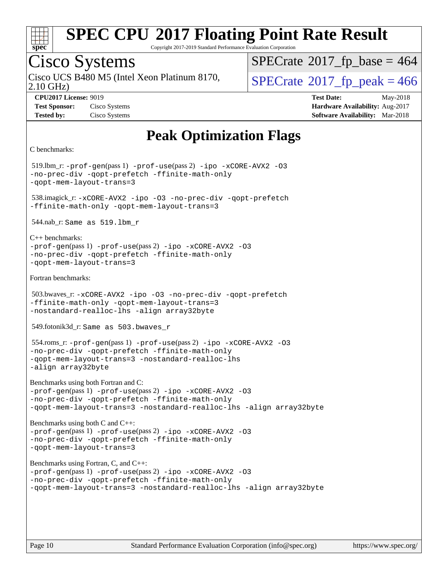

Copyright 2017-2019 Standard Performance Evaluation Corporation

### Cisco Systems

2.10 GHz) Cisco UCS B480 M5 (Intel Xeon Platinum 8170,  $\vert$ [SPECrate](http://www.spec.org/auto/cpu2017/Docs/result-fields.html#SPECrate2017fppeak)®[2017\\_fp\\_peak = 4](http://www.spec.org/auto/cpu2017/Docs/result-fields.html#SPECrate2017fppeak)66

 $SPECTate$ <sup>®</sup>[2017\\_fp\\_base =](http://www.spec.org/auto/cpu2017/Docs/result-fields.html#SPECrate2017fpbase) 464

**[CPU2017 License:](http://www.spec.org/auto/cpu2017/Docs/result-fields.html#CPU2017License)** 9019 **[Test Date:](http://www.spec.org/auto/cpu2017/Docs/result-fields.html#TestDate)** May-2018 **[Test Sponsor:](http://www.spec.org/auto/cpu2017/Docs/result-fields.html#TestSponsor)** Cisco Systems **Cisco Systems [Hardware Availability:](http://www.spec.org/auto/cpu2017/Docs/result-fields.html#HardwareAvailability)** Aug-2017 **[Tested by:](http://www.spec.org/auto/cpu2017/Docs/result-fields.html#Testedby)** Cisco Systems **[Software Availability:](http://www.spec.org/auto/cpu2017/Docs/result-fields.html#SoftwareAvailability)** Mar-2018

### **[Peak Optimization Flags](http://www.spec.org/auto/cpu2017/Docs/result-fields.html#PeakOptimizationFlags)**

```
C benchmarks:
```
 519.lbm\_r: [-prof-gen](http://www.spec.org/cpu2017/results/res2018q2/cpu2017-20180515-05676.flags.html#user_peakPASS1_CFLAGSPASS1_LDFLAGS519_lbm_r_prof_gen_5aa4926d6013ddb2a31985c654b3eb18169fc0c6952a63635c234f711e6e63dd76e94ad52365559451ec499a2cdb89e4dc58ba4c67ef54ca681ffbe1461d6b36)(pass 1) [-prof-use](http://www.spec.org/cpu2017/results/res2018q2/cpu2017-20180515-05676.flags.html#user_peakPASS2_CFLAGSPASS2_LDFLAGS519_lbm_r_prof_use_1a21ceae95f36a2b53c25747139a6c16ca95bd9def2a207b4f0849963b97e94f5260e30a0c64f4bb623698870e679ca08317ef8150905d41bd88c6f78df73f19)(pass 2) [-ipo](http://www.spec.org/cpu2017/results/res2018q2/cpu2017-20180515-05676.flags.html#user_peakPASS1_COPTIMIZEPASS2_COPTIMIZE519_lbm_r_f-ipo) [-xCORE-AVX2](http://www.spec.org/cpu2017/results/res2018q2/cpu2017-20180515-05676.flags.html#user_peakPASS2_COPTIMIZE519_lbm_r_f-xCORE-AVX2) [-O3](http://www.spec.org/cpu2017/results/res2018q2/cpu2017-20180515-05676.flags.html#user_peakPASS1_COPTIMIZEPASS2_COPTIMIZE519_lbm_r_f-O3) [-no-prec-div](http://www.spec.org/cpu2017/results/res2018q2/cpu2017-20180515-05676.flags.html#user_peakPASS1_COPTIMIZEPASS2_COPTIMIZE519_lbm_r_f-no-prec-div) [-qopt-prefetch](http://www.spec.org/cpu2017/results/res2018q2/cpu2017-20180515-05676.flags.html#user_peakPASS1_COPTIMIZEPASS2_COPTIMIZE519_lbm_r_f-qopt-prefetch) [-ffinite-math-only](http://www.spec.org/cpu2017/results/res2018q2/cpu2017-20180515-05676.flags.html#user_peakPASS1_COPTIMIZEPASS2_COPTIMIZE519_lbm_r_f_finite_math_only_cb91587bd2077682c4b38af759c288ed7c732db004271a9512da14a4f8007909a5f1427ecbf1a0fb78ff2a814402c6114ac565ca162485bbcae155b5e4258871) [-qopt-mem-layout-trans=3](http://www.spec.org/cpu2017/results/res2018q2/cpu2017-20180515-05676.flags.html#user_peakPASS1_COPTIMIZEPASS2_COPTIMIZE519_lbm_r_f-qopt-mem-layout-trans_de80db37974c74b1f0e20d883f0b675c88c3b01e9d123adea9b28688d64333345fb62bc4a798493513fdb68f60282f9a726aa07f478b2f7113531aecce732043) 538.imagick\_r: [-xCORE-AVX2](http://www.spec.org/cpu2017/results/res2018q2/cpu2017-20180515-05676.flags.html#user_peakCOPTIMIZE538_imagick_r_f-xCORE-AVX2) [-ipo](http://www.spec.org/cpu2017/results/res2018q2/cpu2017-20180515-05676.flags.html#user_peakCOPTIMIZE538_imagick_r_f-ipo) [-O3](http://www.spec.org/cpu2017/results/res2018q2/cpu2017-20180515-05676.flags.html#user_peakCOPTIMIZE538_imagick_r_f-O3) [-no-prec-div](http://www.spec.org/cpu2017/results/res2018q2/cpu2017-20180515-05676.flags.html#user_peakCOPTIMIZE538_imagick_r_f-no-prec-div) [-qopt-prefetch](http://www.spec.org/cpu2017/results/res2018q2/cpu2017-20180515-05676.flags.html#user_peakCOPTIMIZE538_imagick_r_f-qopt-prefetch) [-ffinite-math-only](http://www.spec.org/cpu2017/results/res2018q2/cpu2017-20180515-05676.flags.html#user_peakCOPTIMIZE538_imagick_r_f_finite_math_only_cb91587bd2077682c4b38af759c288ed7c732db004271a9512da14a4f8007909a5f1427ecbf1a0fb78ff2a814402c6114ac565ca162485bbcae155b5e4258871) [-qopt-mem-layout-trans=3](http://www.spec.org/cpu2017/results/res2018q2/cpu2017-20180515-05676.flags.html#user_peakCOPTIMIZE538_imagick_r_f-qopt-mem-layout-trans_de80db37974c74b1f0e20d883f0b675c88c3b01e9d123adea9b28688d64333345fb62bc4a798493513fdb68f60282f9a726aa07f478b2f7113531aecce732043) 544.nab\_r: Same as 519.lbm\_r [C++ benchmarks:](http://www.spec.org/auto/cpu2017/Docs/result-fields.html#CXXbenchmarks) [-prof-gen](http://www.spec.org/cpu2017/results/res2018q2/cpu2017-20180515-05676.flags.html#user_CXXpeak_prof_gen_5aa4926d6013ddb2a31985c654b3eb18169fc0c6952a63635c234f711e6e63dd76e94ad52365559451ec499a2cdb89e4dc58ba4c67ef54ca681ffbe1461d6b36)(pass 1) [-prof-use](http://www.spec.org/cpu2017/results/res2018q2/cpu2017-20180515-05676.flags.html#user_CXXpeak_prof_use_1a21ceae95f36a2b53c25747139a6c16ca95bd9def2a207b4f0849963b97e94f5260e30a0c64f4bb623698870e679ca08317ef8150905d41bd88c6f78df73f19)(pass 2) [-ipo](http://www.spec.org/cpu2017/results/res2018q2/cpu2017-20180515-05676.flags.html#user_CXXpeak_f-ipo) [-xCORE-AVX2](http://www.spec.org/cpu2017/results/res2018q2/cpu2017-20180515-05676.flags.html#user_CXXpeak_f-xCORE-AVX2) [-O3](http://www.spec.org/cpu2017/results/res2018q2/cpu2017-20180515-05676.flags.html#user_CXXpeak_f-O3) [-no-prec-div](http://www.spec.org/cpu2017/results/res2018q2/cpu2017-20180515-05676.flags.html#user_CXXpeak_f-no-prec-div) [-qopt-prefetch](http://www.spec.org/cpu2017/results/res2018q2/cpu2017-20180515-05676.flags.html#user_CXXpeak_f-qopt-prefetch) [-ffinite-math-only](http://www.spec.org/cpu2017/results/res2018q2/cpu2017-20180515-05676.flags.html#user_CXXpeak_f_finite_math_only_cb91587bd2077682c4b38af759c288ed7c732db004271a9512da14a4f8007909a5f1427ecbf1a0fb78ff2a814402c6114ac565ca162485bbcae155b5e4258871) [-qopt-mem-layout-trans=3](http://www.spec.org/cpu2017/results/res2018q2/cpu2017-20180515-05676.flags.html#user_CXXpeak_f-qopt-mem-layout-trans_de80db37974c74b1f0e20d883f0b675c88c3b01e9d123adea9b28688d64333345fb62bc4a798493513fdb68f60282f9a726aa07f478b2f7113531aecce732043) [Fortran benchmarks](http://www.spec.org/auto/cpu2017/Docs/result-fields.html#Fortranbenchmarks): 503.bwaves\_r: [-xCORE-AVX2](http://www.spec.org/cpu2017/results/res2018q2/cpu2017-20180515-05676.flags.html#user_peakFOPTIMIZE503_bwaves_r_f-xCORE-AVX2) [-ipo](http://www.spec.org/cpu2017/results/res2018q2/cpu2017-20180515-05676.flags.html#user_peakFOPTIMIZE503_bwaves_r_f-ipo) [-O3](http://www.spec.org/cpu2017/results/res2018q2/cpu2017-20180515-05676.flags.html#user_peakFOPTIMIZE503_bwaves_r_f-O3) [-no-prec-div](http://www.spec.org/cpu2017/results/res2018q2/cpu2017-20180515-05676.flags.html#user_peakFOPTIMIZE503_bwaves_r_f-no-prec-div) [-qopt-prefetch](http://www.spec.org/cpu2017/results/res2018q2/cpu2017-20180515-05676.flags.html#user_peakFOPTIMIZE503_bwaves_r_f-qopt-prefetch) [-ffinite-math-only](http://www.spec.org/cpu2017/results/res2018q2/cpu2017-20180515-05676.flags.html#user_peakFOPTIMIZE503_bwaves_r_f_finite_math_only_cb91587bd2077682c4b38af759c288ed7c732db004271a9512da14a4f8007909a5f1427ecbf1a0fb78ff2a814402c6114ac565ca162485bbcae155b5e4258871) [-qopt-mem-layout-trans=3](http://www.spec.org/cpu2017/results/res2018q2/cpu2017-20180515-05676.flags.html#user_peakFOPTIMIZE503_bwaves_r_f-qopt-mem-layout-trans_de80db37974c74b1f0e20d883f0b675c88c3b01e9d123adea9b28688d64333345fb62bc4a798493513fdb68f60282f9a726aa07f478b2f7113531aecce732043) [-nostandard-realloc-lhs](http://www.spec.org/cpu2017/results/res2018q2/cpu2017-20180515-05676.flags.html#user_peakEXTRA_FOPTIMIZE503_bwaves_r_f_2003_std_realloc_82b4557e90729c0f113870c07e44d33d6f5a304b4f63d4c15d2d0f1fab99f5daaed73bdb9275d9ae411527f28b936061aa8b9c8f2d63842963b95c9dd6426b8a) [-align array32byte](http://www.spec.org/cpu2017/results/res2018q2/cpu2017-20180515-05676.flags.html#user_peakEXTRA_FOPTIMIZE503_bwaves_r_align_array32byte_b982fe038af199962ba9a80c053b8342c548c85b40b8e86eb3cc33dee0d7986a4af373ac2d51c3f7cf710a18d62fdce2948f201cd044323541f22fc0fffc51b6) 549.fotonik3d\_r: Same as 503.bwaves\_r 554.roms\_r: [-prof-gen](http://www.spec.org/cpu2017/results/res2018q2/cpu2017-20180515-05676.flags.html#user_peakPASS1_FFLAGSPASS1_LDFLAGS554_roms_r_prof_gen_5aa4926d6013ddb2a31985c654b3eb18169fc0c6952a63635c234f711e6e63dd76e94ad52365559451ec499a2cdb89e4dc58ba4c67ef54ca681ffbe1461d6b36)(pass 1) [-prof-use](http://www.spec.org/cpu2017/results/res2018q2/cpu2017-20180515-05676.flags.html#user_peakPASS2_FFLAGSPASS2_LDFLAGS554_roms_r_prof_use_1a21ceae95f36a2b53c25747139a6c16ca95bd9def2a207b4f0849963b97e94f5260e30a0c64f4bb623698870e679ca08317ef8150905d41bd88c6f78df73f19)(pass 2) [-ipo](http://www.spec.org/cpu2017/results/res2018q2/cpu2017-20180515-05676.flags.html#user_peakPASS1_FOPTIMIZEPASS2_FOPTIMIZE554_roms_r_f-ipo) [-xCORE-AVX2](http://www.spec.org/cpu2017/results/res2018q2/cpu2017-20180515-05676.flags.html#user_peakPASS2_FOPTIMIZE554_roms_r_f-xCORE-AVX2) [-O3](http://www.spec.org/cpu2017/results/res2018q2/cpu2017-20180515-05676.flags.html#user_peakPASS1_FOPTIMIZEPASS2_FOPTIMIZE554_roms_r_f-O3) [-no-prec-div](http://www.spec.org/cpu2017/results/res2018q2/cpu2017-20180515-05676.flags.html#user_peakPASS1_FOPTIMIZEPASS2_FOPTIMIZE554_roms_r_f-no-prec-div) [-qopt-prefetch](http://www.spec.org/cpu2017/results/res2018q2/cpu2017-20180515-05676.flags.html#user_peakPASS1_FOPTIMIZEPASS2_FOPTIMIZE554_roms_r_f-qopt-prefetch) [-ffinite-math-only](http://www.spec.org/cpu2017/results/res2018q2/cpu2017-20180515-05676.flags.html#user_peakPASS1_FOPTIMIZEPASS2_FOPTIMIZE554_roms_r_f_finite_math_only_cb91587bd2077682c4b38af759c288ed7c732db004271a9512da14a4f8007909a5f1427ecbf1a0fb78ff2a814402c6114ac565ca162485bbcae155b5e4258871) [-qopt-mem-layout-trans=3](http://www.spec.org/cpu2017/results/res2018q2/cpu2017-20180515-05676.flags.html#user_peakPASS1_FOPTIMIZEPASS2_FOPTIMIZE554_roms_r_f-qopt-mem-layout-trans_de80db37974c74b1f0e20d883f0b675c88c3b01e9d123adea9b28688d64333345fb62bc4a798493513fdb68f60282f9a726aa07f478b2f7113531aecce732043) [-nostandard-realloc-lhs](http://www.spec.org/cpu2017/results/res2018q2/cpu2017-20180515-05676.flags.html#user_peakEXTRA_FOPTIMIZE554_roms_r_f_2003_std_realloc_82b4557e90729c0f113870c07e44d33d6f5a304b4f63d4c15d2d0f1fab99f5daaed73bdb9275d9ae411527f28b936061aa8b9c8f2d63842963b95c9dd6426b8a) [-align array32byte](http://www.spec.org/cpu2017/results/res2018q2/cpu2017-20180515-05676.flags.html#user_peakEXTRA_FOPTIMIZE554_roms_r_align_array32byte_b982fe038af199962ba9a80c053b8342c548c85b40b8e86eb3cc33dee0d7986a4af373ac2d51c3f7cf710a18d62fdce2948f201cd044323541f22fc0fffc51b6) [Benchmarks using both Fortran and C](http://www.spec.org/auto/cpu2017/Docs/result-fields.html#BenchmarksusingbothFortranandC): [-prof-gen](http://www.spec.org/cpu2017/results/res2018q2/cpu2017-20180515-05676.flags.html#user_CC_FCpeak_prof_gen_5aa4926d6013ddb2a31985c654b3eb18169fc0c6952a63635c234f711e6e63dd76e94ad52365559451ec499a2cdb89e4dc58ba4c67ef54ca681ffbe1461d6b36)(pass 1) [-prof-use](http://www.spec.org/cpu2017/results/res2018q2/cpu2017-20180515-05676.flags.html#user_CC_FCpeak_prof_use_1a21ceae95f36a2b53c25747139a6c16ca95bd9def2a207b4f0849963b97e94f5260e30a0c64f4bb623698870e679ca08317ef8150905d41bd88c6f78df73f19)(pass 2) [-ipo](http://www.spec.org/cpu2017/results/res2018q2/cpu2017-20180515-05676.flags.html#user_CC_FCpeak_f-ipo) [-xCORE-AVX2](http://www.spec.org/cpu2017/results/res2018q2/cpu2017-20180515-05676.flags.html#user_CC_FCpeak_f-xCORE-AVX2) [-O3](http://www.spec.org/cpu2017/results/res2018q2/cpu2017-20180515-05676.flags.html#user_CC_FCpeak_f-O3) [-no-prec-div](http://www.spec.org/cpu2017/results/res2018q2/cpu2017-20180515-05676.flags.html#user_CC_FCpeak_f-no-prec-div) [-qopt-prefetch](http://www.spec.org/cpu2017/results/res2018q2/cpu2017-20180515-05676.flags.html#user_CC_FCpeak_f-qopt-prefetch) [-ffinite-math-only](http://www.spec.org/cpu2017/results/res2018q2/cpu2017-20180515-05676.flags.html#user_CC_FCpeak_f_finite_math_only_cb91587bd2077682c4b38af759c288ed7c732db004271a9512da14a4f8007909a5f1427ecbf1a0fb78ff2a814402c6114ac565ca162485bbcae155b5e4258871) [-qopt-mem-layout-trans=3](http://www.spec.org/cpu2017/results/res2018q2/cpu2017-20180515-05676.flags.html#user_CC_FCpeak_f-qopt-mem-layout-trans_de80db37974c74b1f0e20d883f0b675c88c3b01e9d123adea9b28688d64333345fb62bc4a798493513fdb68f60282f9a726aa07f478b2f7113531aecce732043) [-nostandard-realloc-lhs](http://www.spec.org/cpu2017/results/res2018q2/cpu2017-20180515-05676.flags.html#user_CC_FCpeak_f_2003_std_realloc_82b4557e90729c0f113870c07e44d33d6f5a304b4f63d4c15d2d0f1fab99f5daaed73bdb9275d9ae411527f28b936061aa8b9c8f2d63842963b95c9dd6426b8a) [-align array32byte](http://www.spec.org/cpu2017/results/res2018q2/cpu2017-20180515-05676.flags.html#user_CC_FCpeak_align_array32byte_b982fe038af199962ba9a80c053b8342c548c85b40b8e86eb3cc33dee0d7986a4af373ac2d51c3f7cf710a18d62fdce2948f201cd044323541f22fc0fffc51b6) [Benchmarks using both C and C++:](http://www.spec.org/auto/cpu2017/Docs/result-fields.html#BenchmarksusingbothCandCXX) [-prof-gen](http://www.spec.org/cpu2017/results/res2018q2/cpu2017-20180515-05676.flags.html#user_CC_CXXpeak_prof_gen_5aa4926d6013ddb2a31985c654b3eb18169fc0c6952a63635c234f711e6e63dd76e94ad52365559451ec499a2cdb89e4dc58ba4c67ef54ca681ffbe1461d6b36)(pass 1) [-prof-use](http://www.spec.org/cpu2017/results/res2018q2/cpu2017-20180515-05676.flags.html#user_CC_CXXpeak_prof_use_1a21ceae95f36a2b53c25747139a6c16ca95bd9def2a207b4f0849963b97e94f5260e30a0c64f4bb623698870e679ca08317ef8150905d41bd88c6f78df73f19)(pass 2) [-ipo](http://www.spec.org/cpu2017/results/res2018q2/cpu2017-20180515-05676.flags.html#user_CC_CXXpeak_f-ipo) [-xCORE-AVX2](http://www.spec.org/cpu2017/results/res2018q2/cpu2017-20180515-05676.flags.html#user_CC_CXXpeak_f-xCORE-AVX2) [-O3](http://www.spec.org/cpu2017/results/res2018q2/cpu2017-20180515-05676.flags.html#user_CC_CXXpeak_f-O3) [-no-prec-div](http://www.spec.org/cpu2017/results/res2018q2/cpu2017-20180515-05676.flags.html#user_CC_CXXpeak_f-no-prec-div) [-qopt-prefetch](http://www.spec.org/cpu2017/results/res2018q2/cpu2017-20180515-05676.flags.html#user_CC_CXXpeak_f-qopt-prefetch) [-ffinite-math-only](http://www.spec.org/cpu2017/results/res2018q2/cpu2017-20180515-05676.flags.html#user_CC_CXXpeak_f_finite_math_only_cb91587bd2077682c4b38af759c288ed7c732db004271a9512da14a4f8007909a5f1427ecbf1a0fb78ff2a814402c6114ac565ca162485bbcae155b5e4258871) [-qopt-mem-layout-trans=3](http://www.spec.org/cpu2017/results/res2018q2/cpu2017-20180515-05676.flags.html#user_CC_CXXpeak_f-qopt-mem-layout-trans_de80db37974c74b1f0e20d883f0b675c88c3b01e9d123adea9b28688d64333345fb62bc4a798493513fdb68f60282f9a726aa07f478b2f7113531aecce732043) [Benchmarks using Fortran, C, and C++:](http://www.spec.org/auto/cpu2017/Docs/result-fields.html#BenchmarksusingFortranCandCXX) [-prof-gen](http://www.spec.org/cpu2017/results/res2018q2/cpu2017-20180515-05676.flags.html#user_CC_CXX_FCpeak_prof_gen_5aa4926d6013ddb2a31985c654b3eb18169fc0c6952a63635c234f711e6e63dd76e94ad52365559451ec499a2cdb89e4dc58ba4c67ef54ca681ffbe1461d6b36)(pass 1) [-prof-use](http://www.spec.org/cpu2017/results/res2018q2/cpu2017-20180515-05676.flags.html#user_CC_CXX_FCpeak_prof_use_1a21ceae95f36a2b53c25747139a6c16ca95bd9def2a207b4f0849963b97e94f5260e30a0c64f4bb623698870e679ca08317ef8150905d41bd88c6f78df73f19)(pass 2) [-ipo](http://www.spec.org/cpu2017/results/res2018q2/cpu2017-20180515-05676.flags.html#user_CC_CXX_FCpeak_f-ipo) [-xCORE-AVX2](http://www.spec.org/cpu2017/results/res2018q2/cpu2017-20180515-05676.flags.html#user_CC_CXX_FCpeak_f-xCORE-AVX2) [-O3](http://www.spec.org/cpu2017/results/res2018q2/cpu2017-20180515-05676.flags.html#user_CC_CXX_FCpeak_f-O3) [-no-prec-div](http://www.spec.org/cpu2017/results/res2018q2/cpu2017-20180515-05676.flags.html#user_CC_CXX_FCpeak_f-no-prec-div) [-qopt-prefetch](http://www.spec.org/cpu2017/results/res2018q2/cpu2017-20180515-05676.flags.html#user_CC_CXX_FCpeak_f-qopt-prefetch) [-ffinite-math-only](http://www.spec.org/cpu2017/results/res2018q2/cpu2017-20180515-05676.flags.html#user_CC_CXX_FCpeak_f_finite_math_only_cb91587bd2077682c4b38af759c288ed7c732db004271a9512da14a4f8007909a5f1427ecbf1a0fb78ff2a814402c6114ac565ca162485bbcae155b5e4258871) [-qopt-mem-layout-trans=3](http://www.spec.org/cpu2017/results/res2018q2/cpu2017-20180515-05676.flags.html#user_CC_CXX_FCpeak_f-qopt-mem-layout-trans_de80db37974c74b1f0e20d883f0b675c88c3b01e9d123adea9b28688d64333345fb62bc4a798493513fdb68f60282f9a726aa07f478b2f7113531aecce732043) [-nostandard-realloc-lhs](http://www.spec.org/cpu2017/results/res2018q2/cpu2017-20180515-05676.flags.html#user_CC_CXX_FCpeak_f_2003_std_realloc_82b4557e90729c0f113870c07e44d33d6f5a304b4f63d4c15d2d0f1fab99f5daaed73bdb9275d9ae411527f28b936061aa8b9c8f2d63842963b95c9dd6426b8a) [-align array32byte](http://www.spec.org/cpu2017/results/res2018q2/cpu2017-20180515-05676.flags.html#user_CC_CXX_FCpeak_align_array32byte_b982fe038af199962ba9a80c053b8342c548c85b40b8e86eb3cc33dee0d7986a4af373ac2d51c3f7cf710a18d62fdce2948f201cd044323541f22fc0fffc51b6)